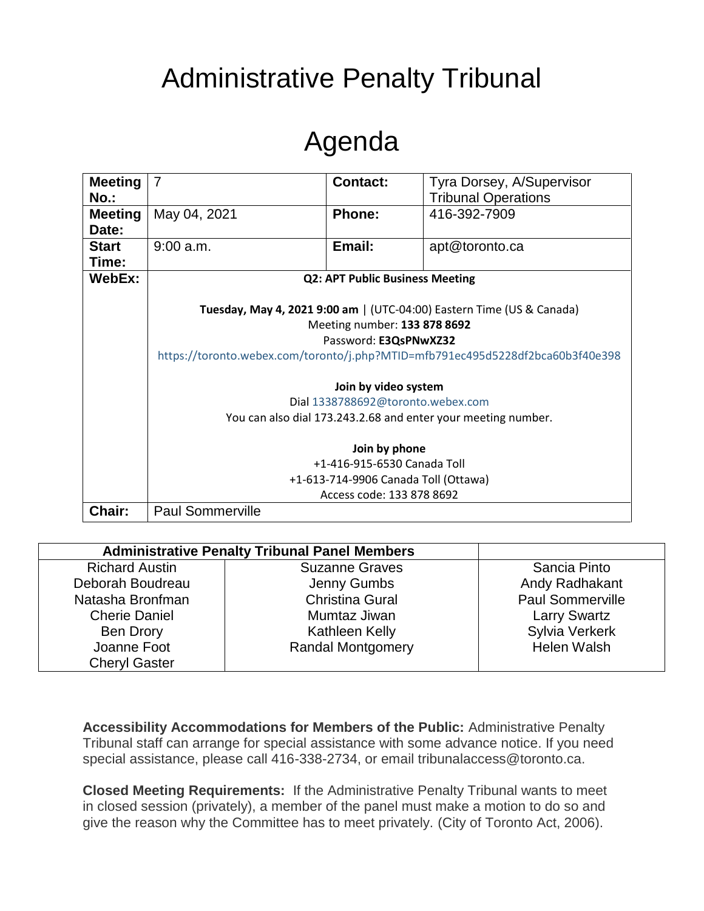## Administrative Penalty Tribunal

## Agenda

| <b>Meeting</b> | $\overline{7}$                                                                 | <b>Contact:</b> | Tyra Dorsey, A/Supervisor  |  |
|----------------|--------------------------------------------------------------------------------|-----------------|----------------------------|--|
| $No.$ :        |                                                                                |                 | <b>Tribunal Operations</b> |  |
| <b>Meeting</b> | May 04, 2021                                                                   | <b>Phone:</b>   | 416-392-7909               |  |
| Date:          |                                                                                |                 |                            |  |
| <b>Start</b>   | $9:00$ a.m.                                                                    | Email:          | apt@toronto.ca             |  |
| Time:          |                                                                                |                 |                            |  |
| WebEx:         | <b>Q2: APT Public Business Meeting</b>                                         |                 |                            |  |
|                |                                                                                |                 |                            |  |
|                | Tuesday, May 4, 2021 9:00 am   (UTC-04:00) Eastern Time (US & Canada)          |                 |                            |  |
|                | Meeting number: 133 878 8692                                                   |                 |                            |  |
|                | Password: E3QsPNwXZ32                                                          |                 |                            |  |
|                | https://toronto.webex.com/toronto/j.php?MTID=mfb791ec495d5228df2bca60b3f40e398 |                 |                            |  |
|                | Join by video system                                                           |                 |                            |  |
|                | Dial 1338788692@toronto.webex.com                                              |                 |                            |  |
|                | You can also dial 173.243.2.68 and enter your meeting number.                  |                 |                            |  |
|                | Join by phone                                                                  |                 |                            |  |
|                | +1-416-915-6530 Canada Toll                                                    |                 |                            |  |
|                | +1-613-714-9906 Canada Toll (Ottawa)                                           |                 |                            |  |
|                | Access code: 133 878 8692                                                      |                 |                            |  |
| Chair:         | <b>Paul Sommerville</b>                                                        |                 |                            |  |

| <b>Administrative Penalty Tribunal Panel Members</b> |                          |                         |
|------------------------------------------------------|--------------------------|-------------------------|
| <b>Richard Austin</b>                                | <b>Suzanne Graves</b>    | Sancia Pinto            |
| Deborah Boudreau                                     | Jenny Gumbs              | Andy Radhakant          |
| Natasha Bronfman                                     | <b>Christina Gural</b>   | <b>Paul Sommerville</b> |
| <b>Cherie Daniel</b>                                 | Mumtaz Jiwan             | <b>Larry Swartz</b>     |
| <b>Ben Drory</b>                                     | Kathleen Kelly           | Sylvia Verkerk          |
| Joanne Foot                                          | <b>Randal Montgomery</b> | Helen Walsh             |
| <b>Cheryl Gaster</b>                                 |                          |                         |

**Accessibility Accommodations for Members of the Public:** Administrative Penalty Tribunal staff can arrange for special assistance with some advance notice. If you need special assistance, please call 416-338-2734, or email tribunalaccess@toronto.ca.

**Closed Meeting Requirements:** If the Administrative Penalty Tribunal wants to meet in closed session (privately), a member of the panel must make a motion to do so and give the reason why the Committee has to meet privately. (City of Toronto Act, 2006).